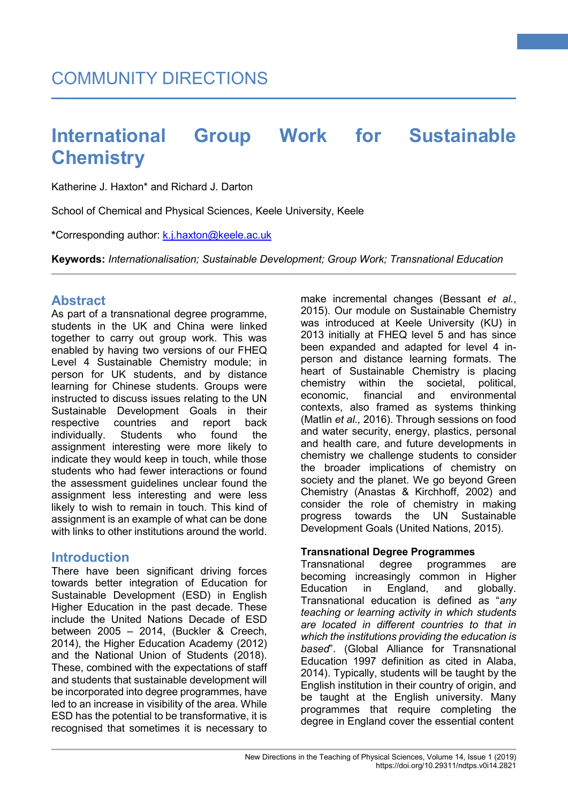Katherine J. Haxton\* and Richard J. Darton

School of Chemical and Physical Sciences, Keele University, Keele

**\***Corresponding author: [k.j.haxton@keele.ac.uk](mailto:k.j.haxton@keele.ac.uk)

**Keywords:** *Internationalisation; Sustainable Development; Group Work; Transnational Education*

## **Abstract**

As part of a transnational degree programme, students in the UK and China were linked together to carry out group work. This was enabled by having two versions of our FHEQ Level 4 Sustainable Chemistry module; in person for UK students, and by distance learning for Chinese students. Groups were instructed to discuss issues relating to the UN Sustainable Development Goals in their respective countries and report back<br>
individually Students who found the individually. Students who found the assignment interesting were more likely to indicate they would keep in touch, while those students who had fewer interactions or found the assessment guidelines unclear found the assignment less interesting and were less likely to wish to remain in touch. This kind of assignment is an example of what can be done with links to other institutions around the world.

## **Introduction**

There have been significant driving forces towards better integration of Education for Sustainable Development (ESD) in English Higher Education in the past decade. These include the United Nations Decade of ESD between 2005 – 2014, (Buckler & Creech, 2014), the Higher Education Academy (2012) and the National Union of Students (2018). These, combined with the expectations of staff and students that sustainable development will be incorporated into degree programmes, have led to an increase in visibility of the area. While ESD has the potential to be transformative, it is recognised that sometimes it is necessary to

make incremental changes (Bessant *et al.*, 2015). Our module on Sustainable Chemistry was introduced at Keele University (KU) in 2013 initially at FHEQ level 5 and has since been expanded and adapted for level 4 inperson and distance learning formats. The heart of Sustainable Chemistry is placing chemistry within the societal, political, economic, financial and environmental contexts, also framed as systems thinking (Matlin *et al.,* 2016). Through sessions on food and water security, energy, plastics, personal and health care, and future developments in chemistry we challenge students to consider the broader implications of chemistry on society and the planet. We go beyond Green Chemistry (Anastas & Kirchhoff, 2002) and consider the role of chemistry in making progress towards the UN Sustainable Development Goals (United Nations, 2015).

**1**

### **Transnational Degree Programmes**

Transnational degree programmes are becoming increasingly common in Higher Education in England, and globally. Transnational education is defined as "*any teaching or learning activity in which students are located in different countries to that in which the institutions providing the education is based*". (Global Alliance for Transnational Education 1997 definition as cited in Alaba, 2014). Typically, students will be taught by the English institution in their country of origin, and be taught at the English university. Many programmes that require completing the degree in England cover the essential content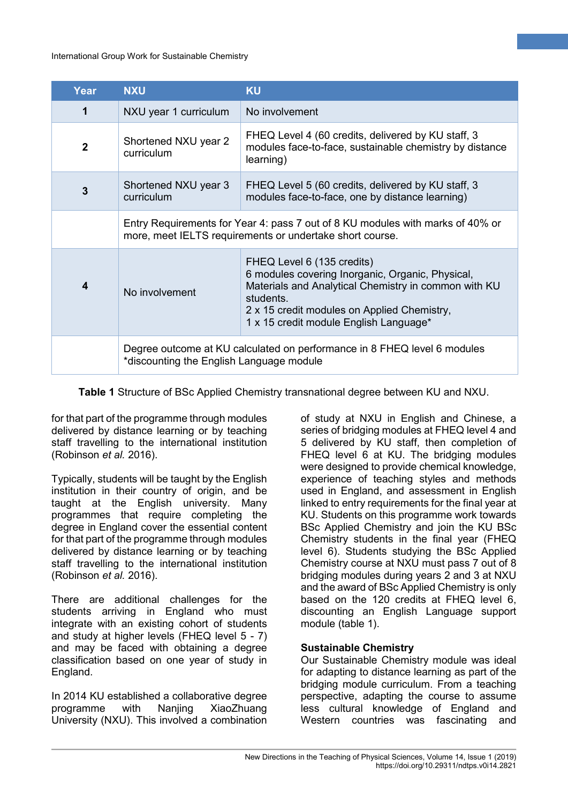| Year           | <b>NXU</b>                                                                                                                                 | <b>KU</b>                                                                                                                                                                                                                                   |  |
|----------------|--------------------------------------------------------------------------------------------------------------------------------------------|---------------------------------------------------------------------------------------------------------------------------------------------------------------------------------------------------------------------------------------------|--|
| 1              | NXU year 1 curriculum                                                                                                                      | No involvement                                                                                                                                                                                                                              |  |
| $\overline{2}$ | Shortened NXU year 2<br>curriculum                                                                                                         | FHEQ Level 4 (60 credits, delivered by KU staff, 3<br>modules face-to-face, sustainable chemistry by distance<br>learning)                                                                                                                  |  |
| 3              | Shortened NXU year 3<br>curriculum                                                                                                         | FHEQ Level 5 (60 credits, delivered by KU staff, 3<br>modules face-to-face, one by distance learning)                                                                                                                                       |  |
|                | Entry Requirements for Year 4: pass 7 out of 8 KU modules with marks of 40% or<br>more, meet IELTS requirements or undertake short course. |                                                                                                                                                                                                                                             |  |
| 4              | No involvement                                                                                                                             | FHEQ Level 6 (135 credits)<br>6 modules covering Inorganic, Organic, Physical,<br>Materials and Analytical Chemistry in common with KU<br>students<br>2 x 15 credit modules on Applied Chemistry,<br>1 x 15 credit module English Language* |  |
|                | Degree outcome at KU calculated on performance in 8 FHEQ level 6 modules<br>*discounting the English Language module                       |                                                                                                                                                                                                                                             |  |

**Table 1** Structure of BSc Applied Chemistry transnational degree between KU and NXU.

for that part of the programme through modules delivered by distance learning or by teaching staff travelling to the international institution (Robinson *et al.* 2016).

Typically, students will be taught by the English institution in their country of origin, and be taught at the English university. Many programmes that require completing the degree in England cover the essential content for that part of the programme through modules delivered by distance learning or by teaching staff travelling to the international institution (Robinson *et al.* 2016).

There are additional challenges for the students arriving in England who must integrate with an existing cohort of students and study at higher levels (FHEQ level 5 - 7) and may be faced with obtaining a degree classification based on one year of study in England.

In 2014 KU established a collaborative degree XiaoZhuang University (NXU). This involved a combination

of study at NXU in English and Chinese, a series of bridging modules at FHEQ level 4 and 5 delivered by KU staff, then completion of FHEQ level 6 at KU. The bridging modules were designed to provide chemical knowledge, experience of teaching styles and methods used in England, and assessment in English linked to entry requirements for the final year at KU. Students on this programme work towards BSc Applied Chemistry and join the KU BSc Chemistry students in the final year (FHEQ level 6). Students studying the BSc Applied Chemistry course at NXU must pass 7 out of 8 bridging modules during years 2 and 3 at NXU and the award of BSc Applied Chemistry is only based on the 120 credits at FHEQ level 6, discounting an English Language support module (table 1).

**2**

### **Sustainable Chemistry**

Our Sustainable Chemistry module was ideal for adapting to distance learning as part of the bridging module curriculum. From a teaching perspective, adapting the course to assume less cultural knowledge of England and Western countries was fascinating and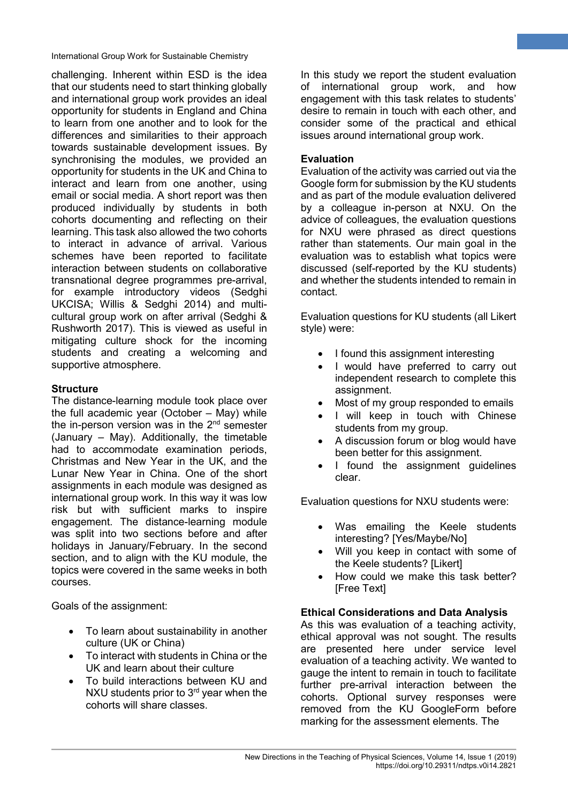challenging. Inherent within ESD is the idea that our students need to start thinking globally and international group work provides an ideal opportunity for students in England and China to learn from one another and to look for the differences and similarities to their approach towards sustainable development issues. By synchronising the modules, we provided an opportunity for students in the UK and China to interact and learn from one another, using email or social media. A short report was then produced individually by students in both cohorts documenting and reflecting on their learning. This task also allowed the two cohorts to interact in advance of arrival. Various schemes have been reported to facilitate interaction between students on collaborative transnational degree programmes pre-arrival, for example introductory videos (Sedghi UKCISA; Willis & Sedghi 2014) and multicultural group work on after arrival (Sedghi & Rushworth 2017). This is viewed as useful in mitigating culture shock for the incoming students and creating a welcoming and supportive atmosphere.

### **Structure**

The distance-learning module took place over the full academic year (October – May) while the in-person version was in the  $2<sup>nd</sup>$  semester (January – May). Additionally, the timetable had to accommodate examination periods, Christmas and New Year in the UK, and the Lunar New Year in China. One of the short assignments in each module was designed as international group work. In this way it was low risk but with sufficient marks to inspire engagement. The distance-learning module was split into two sections before and after holidays in January/February. In the second section, and to align with the KU module, the topics were covered in the same weeks in both courses.

Goals of the assignment:

- To learn about sustainability in another culture (UK or China)
- To interact with students in China or the UK and learn about their culture
- To build interactions between KU and NXU students prior to  $3<sup>rd</sup>$  year when the cohorts will share classes.

In this study we report the student evaluation of international group work, and how engagement with this task relates to students' desire to remain in touch with each other, and consider some of the practical and ethical issues around international group work.

**3**

### **Evaluation**

Evaluation of the activity was carried out via the Google form for submission by the KU students and as part of the module evaluation delivered by a colleague in-person at NXU. On the advice of colleagues, the evaluation questions for NXU were phrased as direct questions rather than statements. Our main goal in the evaluation was to establish what topics were discussed (self-reported by the KU students) and whether the students intended to remain in contact.

Evaluation questions for KU students (all Likert style) were:

- I found this assignment interesting
- I would have preferred to carry out independent research to complete this assignment.
- Most of my group responded to emails
- I will keep in touch with Chinese students from my group.
- A discussion forum or blog would have been better for this assignment.
- I found the assignment guidelines clear.

Evaluation questions for NXU students were:

- Was emailing the Keele students interesting? [Yes/Maybe/No]
- Will you keep in contact with some of the Keele students? [Likert]
- How could we make this task better? [Free Text]

### **Ethical Considerations and Data Analysis**

As this was evaluation of a teaching activity, ethical approval was not sought. The results are presented here under service level evaluation of a teaching activity. We wanted to gauge the intent to remain in touch to facilitate further pre-arrival interaction between the cohorts. Optional survey responses were removed from the KU GoogleForm before marking for the assessment elements. The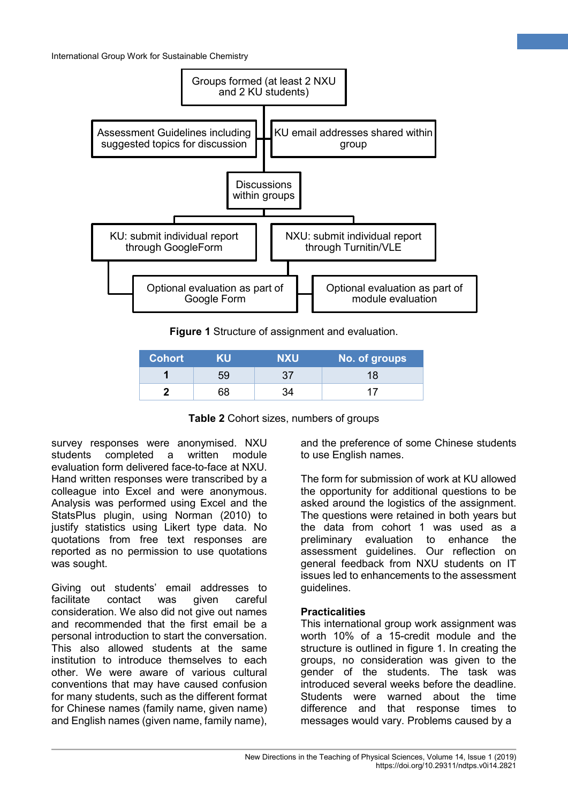

**Figure 1** Structure of assignment and evaluation.

| <b>Cohort</b> | KII | NXU | No. of groups |
|---------------|-----|-----|---------------|
|               | 59  |     | 18            |
|               | 38  |     |               |

**Table 2** Cohort sizes, numbers of groups

survey responses were anonymised. NXU students completed a written module evaluation form delivered face-to-face at NXU. Hand written responses were transcribed by a colleague into Excel and were anonymous. Analysis was performed using Excel and the StatsPlus plugin, using Norman (2010) to justify statistics using Likert type data. No quotations from free text responses are reported as no permission to use quotations was sought.

Giving out students' email addresses to facilitate contact was given careful consideration. We also did not give out names and recommended that the first email be a personal introduction to start the conversation. This also allowed students at the same institution to introduce themselves to each other. We were aware of various cultural conventions that may have caused confusion for many students, such as the different format for Chinese names (family name, given name) and English names (given name, family name),

and the preference of some Chinese students to use English names.

**4**

The form for submission of work at KU allowed the opportunity for additional questions to be asked around the logistics of the assignment. The questions were retained in both years but the data from cohort 1 was used as a preliminary evaluation to enhance the assessment guidelines. Our reflection on general feedback from NXU students on IT issues led to enhancements to the assessment guidelines.

#### **Practicalities**

This international group work assignment was worth 10% of a 15-credit module and the structure is outlined in figure 1. In creating the groups, no consideration was given to the gender of the students. The task was introduced several weeks before the deadline. Students were warned about the time difference and that response times to messages would vary. Problems caused by a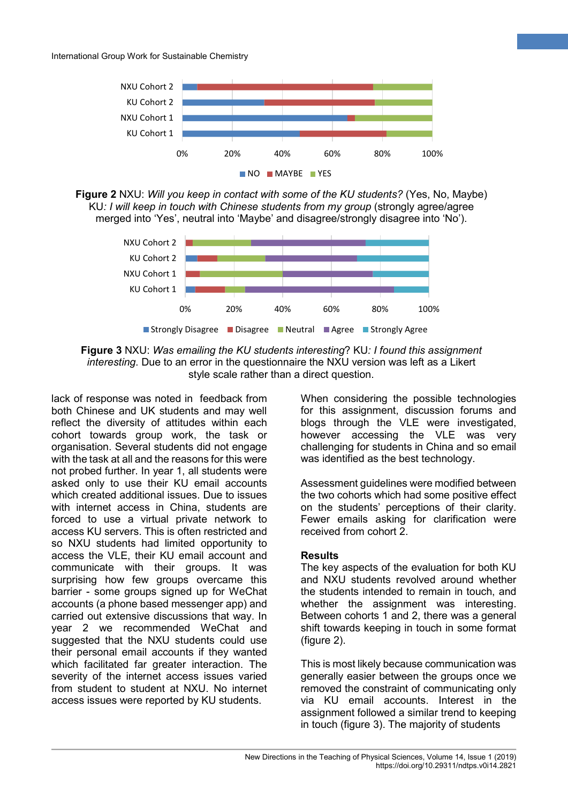

**Figure 2** NXU: *Will you keep in contact with some of the KU students?* (Yes, No, Maybe) KU*: I will keep in touch with Chinese students from my group* (strongly agree/agree merged into 'Yes', neutral into 'Maybe' and disagree/strongly disagree into 'No').



**Figure 3** NXU: *Was emailing the KU students interesting*? KU*: I found this assignment interesting*. Due to an error in the questionnaire the NXU version was left as a Likert style scale rather than a direct question.

lack of response was noted in feedback from both Chinese and UK students and may well reflect the diversity of attitudes within each cohort towards group work, the task or organisation. Several students did not engage with the task at all and the reasons for this were not probed further. In year 1, all students were asked only to use their KU email accounts which created additional issues. Due to issues with internet access in China, students are forced to use a virtual private network to access KU servers. This is often restricted and so NXU students had limited opportunity to access the VLE, their KU email account and communicate with their groups. It was surprising how few groups overcame this barrier - some groups signed up for WeChat accounts (a phone based messenger app) and carried out extensive discussions that way. In year 2 we recommended WeChat and suggested that the NXU students could use their personal email accounts if they wanted which facilitated far greater interaction. The severity of the internet access issues varied from student to student at NXU. No internet access issues were reported by KU students.

When considering the possible technologies for this assignment, discussion forums and blogs through the VLE were investigated, however accessing the VLE was very challenging for students in China and so email was identified as the best technology.

**5**

Assessment guidelines were modified between the two cohorts which had some positive effect on the students' perceptions of their clarity. Fewer emails asking for clarification were received from cohort 2.

#### **Results**

The key aspects of the evaluation for both KU and NXU students revolved around whether the students intended to remain in touch, and whether the assignment was interesting. Between cohorts 1 and 2, there was a general shift towards keeping in touch in some format (figure 2).

This is most likely because communication was generally easier between the groups once we removed the constraint of communicating only via KU email accounts. Interest in the assignment followed a similar trend to keeping in touch (figure 3). The majority of students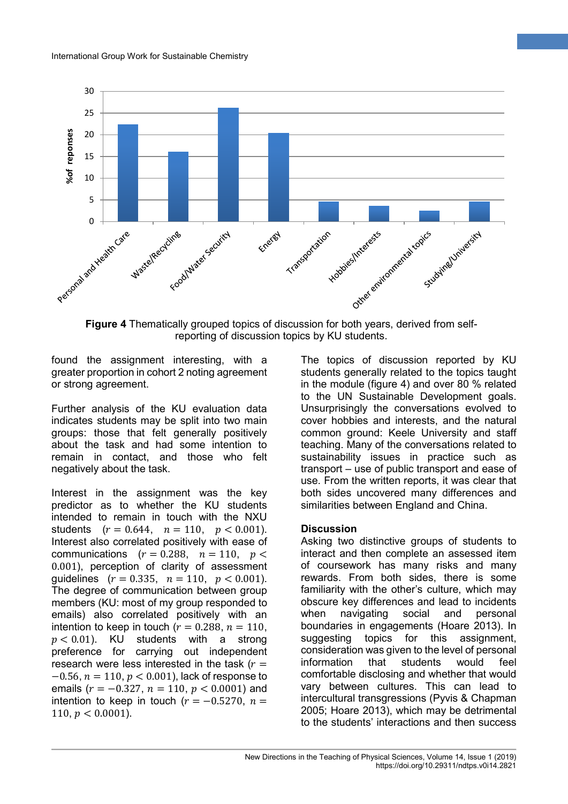

**Figure 4** Thematically grouped topics of discussion for both years, derived from selfreporting of discussion topics by KU students.

found the assignment interesting, with a greater proportion in cohort 2 noting agreement or strong agreement.

Further analysis of the KU evaluation data indicates students may be split into two main groups: those that felt generally positively about the task and had some intention to remain in contact, and those who felt negatively about the task.

Interest in the assignment was the key predictor as to whether the KU students intended to remain in touch with the NXU students  $(r = 0.644, n = 110, p < 0.001)$ . Interest also correlated positively with ease of communications  $(r = 0.288, n = 110, p <$ 0.001), perception of clarity of assessment guidelines  $(r = 0.335, n = 110, p < 0.001)$ . The degree of communication between group members (KU: most of my group responded to emails) also correlated positively with an intention to keep in touch ( $r = 0.288$ ,  $n = 110$ ,  $p < 0.01$ ). KU students with a strong preference for carrying out independent research were less interested in the task  $(r =$  $-0.56$ ,  $n = 110$ ,  $p < 0.001$ ), lack of response to emails ( $r = -0.327$ ,  $n = 110$ ,  $p < 0.0001$ ) and intention to keep in touch ( $r = -0.5270$ ,  $n =$ 110,  $p < 0.0001$ ).

The topics of discussion reported by KU students generally related to the topics taught in the module (figure 4) and over 80 % related to the UN Sustainable Development goals. Unsurprisingly the conversations evolved to cover hobbies and interests, and the natural common ground: Keele University and staff teaching. Many of the conversations related to sustainability issues in practice such as transport – use of public transport and ease of use. From the written reports, it was clear that both sides uncovered many differences and similarities between England and China.

**6**

#### **Discussion**

Asking two distinctive groups of students to interact and then complete an assessed item of coursework has many risks and many rewards. From both sides, there is some familiarity with the other's culture, which may obscure key differences and lead to incidents when navigating social and personal boundaries in engagements (Hoare 2013). In suggesting topics for this assignment, consideration was given to the level of personal information that students would feel comfortable disclosing and whether that would vary between cultures. This can lead to intercultural transgressions (Pyvis & Chapman 2005; Hoare 2013), which may be detrimental to the students' interactions and then success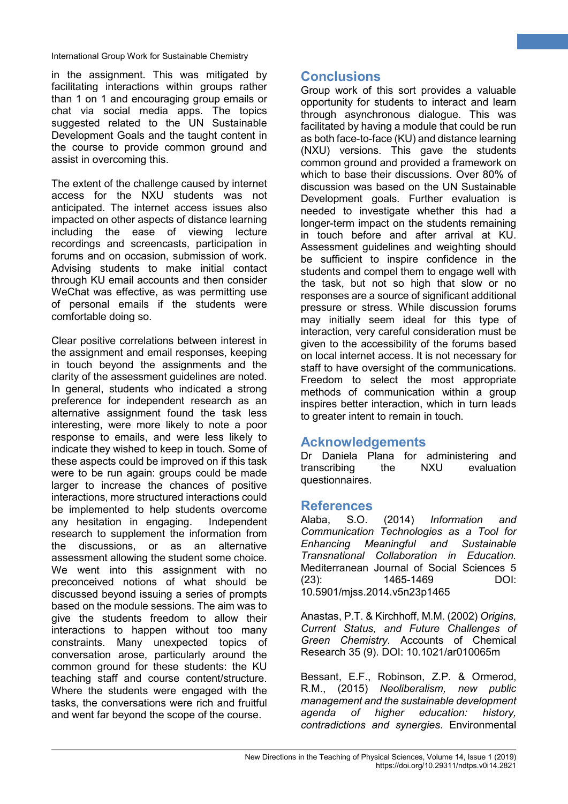in the assignment. This was mitigated by facilitating interactions within groups rather than 1 on 1 and encouraging group emails or chat via social media apps. The topics suggested related to the UN Sustainable Development Goals and the taught content in the course to provide common ground and assist in overcoming this.

The extent of the challenge caused by internet access for the NXU students was not anticipated. The internet access issues also impacted on other aspects of distance learning including the ease of viewing lecture recordings and screencasts, participation in forums and on occasion, submission of work. Advising students to make initial contact through KU email accounts and then consider WeChat was effective, as was permitting use of personal emails if the students were comfortable doing so.

Clear positive correlations between interest in the assignment and email responses, keeping in touch beyond the assignments and the clarity of the assessment guidelines are noted. In general, students who indicated a strong preference for independent research as an alternative assignment found the task less interesting, were more likely to note a poor response to emails, and were less likely to indicate they wished to keep in touch. Some of these aspects could be improved on if this task were to be run again: groups could be made larger to increase the chances of positive interactions, more structured interactions could be implemented to help students overcome any hesitation in engaging. Independent research to supplement the information from the discussions, or as an alternative assessment allowing the student some choice. We went into this assignment with no preconceived notions of what should be discussed beyond issuing a series of prompts based on the module sessions. The aim was to give the students freedom to allow their interactions to happen without too many constraints. Many unexpected topics of conversation arose, particularly around the common ground for these students: the KU teaching staff and course content/structure. Where the students were engaged with the tasks, the conversations were rich and fruitful and went far beyond the scope of the course.

# **Conclusions**

Group work of this sort provides a valuable opportunity for students to interact and learn through asynchronous dialogue. This was facilitated by having a module that could be run as both face-to-face (KU) and distance learning (NXU) versions. This gave the students common ground and provided a framework on which to base their discussions. Over 80% of discussion was based on the UN Sustainable Development goals. Further evaluation is needed to investigate whether this had a longer-term impact on the students remaining in touch before and after arrival at KU. Assessment guidelines and weighting should be sufficient to inspire confidence in the students and compel them to engage well with the task, but not so high that slow or no responses are a source of significant additional pressure or stress. While discussion forums may initially seem ideal for this type of interaction, very careful consideration must be given to the accessibility of the forums based on local internet access. It is not necessary for staff to have oversight of the communications. Freedom to select the most appropriate methods of communication within a group inspires better interaction, which in turn leads to greater intent to remain in touch.

**7**

# **Acknowledgements**

Dr Daniela Plana for administering and transcribing the NXU evaluation questionnaires.

# **References**

Alaba, S.O. (2014) *Information and Communication Technologies as a Tool for Enhancing Meaningful and Sustainable Transnational Collaboration in Education.* Mediterranean Journal of Social Sciences 5 (23): 1465-1469 DOI: 10.5901/mjss.2014.v5n23p1465

Anastas, P.T. & Kirchhoff, M.M. (2002) *Origins, Current Status, and Future Challenges of Green Chemistry*. Accounts of Chemical Research 35 (9). DOI: 10.1021/ar010065m

Bessant, E.F., Robinson, Z.P. & Ormerod, R.M., (2015) *Neoliberalism, new public management and the sustainable development agenda of higher education: history, contradictions and synergies*. Environmental